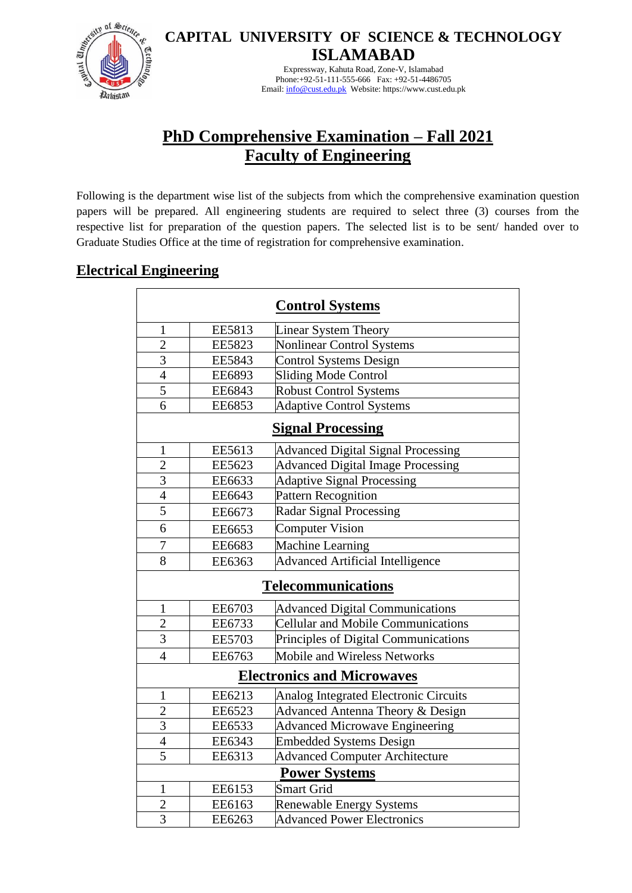

**CAPITAL UNIVERSITY OF SCIENCE & TECHNOLOGY ISLAMABAD**

> Expressway, Kahuta Road, Zone-V, Islamabad Phone:+92-51-111-555-666 Fax: +92-51-4486705 Email[: info@cust.edu.pk](mailto:info@cust.edu.pk) Website: https://www.cust.edu.pk

## **PhD Comprehensive Examination – Fall 2021 Faculty of Engineering**

Following is the department wise list of the subjects from which the comprehensive examination question papers will be prepared. All engineering students are required to select three (3) courses from the respective list for preparation of the question papers. The selected list is to be sent/ handed over to Graduate Studies Office at the time of registration for comprehensive examination.

## **Electrical Engineering**

| <b>Control Systems</b>            |               |                                           |  |  |  |
|-----------------------------------|---------------|-------------------------------------------|--|--|--|
| $\mathbf{1}$                      | EE5813        | Linear System Theory                      |  |  |  |
| $\overline{2}$                    | <b>EE5823</b> | <b>Nonlinear Control Systems</b>          |  |  |  |
| $\overline{3}$                    | <b>EE5843</b> | Control Systems Design                    |  |  |  |
| $\overline{4}$                    | EE6893        | Sliding Mode Control                      |  |  |  |
| $\overline{5}$                    | EE6843        | <b>Robust Control Systems</b>             |  |  |  |
| $\overline{6}$                    | <b>EE6853</b> | <b>Adaptive Control Systems</b>           |  |  |  |
| <b>Signal Processing</b>          |               |                                           |  |  |  |
| $\mathbf{1}$                      | EE5613        | <b>Advanced Digital Signal Processing</b> |  |  |  |
| $\overline{c}$                    | EE5623        | <b>Advanced Digital Image Processing</b>  |  |  |  |
| $\overline{3}$                    | EE6633        | <b>Adaptive Signal Processing</b>         |  |  |  |
| $\overline{4}$                    | EE6643        | Pattern Recognition                       |  |  |  |
| $\overline{5}$                    | EE6673        | Radar Signal Processing                   |  |  |  |
| 6                                 | EE6653        | <b>Computer Vision</b>                    |  |  |  |
| 7                                 | EE6683        | Machine Learning                          |  |  |  |
| 8                                 | EE6363        | <b>Advanced Artificial Intelligence</b>   |  |  |  |
| <b>Telecommunications</b>         |               |                                           |  |  |  |
| $\mathbf{1}$                      | EE6703        | <b>Advanced Digital Communications</b>    |  |  |  |
| $\overline{c}$                    | EE6733        | Cellular and Mobile Communications        |  |  |  |
| $\overline{3}$                    | <b>EE5703</b> | Principles of Digital Communications      |  |  |  |
| $\overline{4}$                    | EE6763        | Mobile and Wireless Networks              |  |  |  |
| <b>Electronics and Microwaves</b> |               |                                           |  |  |  |
| $\mathbf{1}$                      | EE6213        | Analog Integrated Electronic Circuits     |  |  |  |
| $\overline{2}$                    | EE6523        | Advanced Antenna Theory & Design          |  |  |  |
| $\overline{3}$                    | EE6533        | <b>Advanced Microwave Engineering</b>     |  |  |  |
| $\overline{4}$                    | EE6343        | <b>Embedded Systems Design</b>            |  |  |  |
| $\overline{5}$                    | EE6313        | <b>Advanced Computer Architecture</b>     |  |  |  |
| <b>Power Systems</b>              |               |                                           |  |  |  |
| $\mathbf{1}$                      | EE6153        | <b>Smart Grid</b>                         |  |  |  |
| $\overline{2}$                    | EE6163        | <b>Renewable Energy Systems</b>           |  |  |  |
| $\overline{3}$                    | EE6263        | <b>Advanced Power Electronics</b>         |  |  |  |